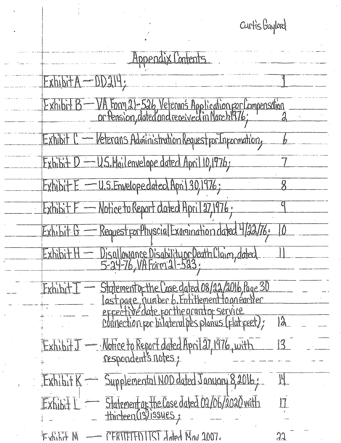Curtis Gaylord

| Appendix Contents                                                                                                   |              |
|---------------------------------------------------------------------------------------------------------------------|--------------|
| $ExhibitA -$                                                                                                        |              |
| VA Form 21-526, Veteran's Application por Compensation<br>or Pension, dated and received in March 976;<br>Exhibit B |              |
| Veterans Administration Request por Inpormation,<br>Exhibit                                                         |              |
| $\overline{E}$ xhibit $D - U.S.$ Mailenvelope dated April 10,1976;                                                  |              |
| $Exhibit E = U.S. Envelope dated Apn130,1976;$                                                                      |              |
| Exhibit F - Notice to Report dated April 27,1976.                                                                   |              |
| Request por Physcial Examination dated 4/22/76;<br>Exhibit G                                                        | $\theta$     |
| Disallowance Disability or Death Claim, dated<br>Exhibit                                                            |              |
| Statementopthe Case dated 08/22/2016, Page 30<br>Exhib                                                              |              |
| expectivé date porthe grandop service                                                                               | $\hat{a}$    |
| ExhibitJ — Notice to Report dated April 27, 1976, with                                                              | $\mathbb{K}$ |
| Exhibit K - Supplemental NOD dated January 8,2016;                                                                  | J            |
| $\frac{1}{2}$ Exhibit $\frac{1}{2}$ = Statement of the Case dated 02/06/2020 with                                   |              |
| - CERTIFFED LTST Joded Now 2007.<br>Fxhilit M                                                                       | 33           |

J ý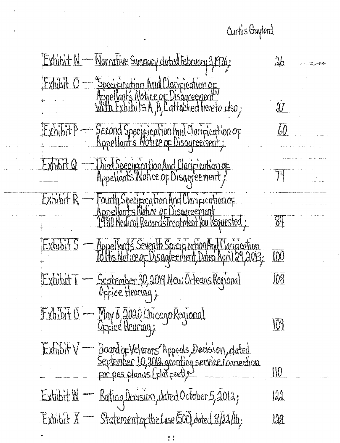Curtis Gaylord

Exhibit N - Narrative Sumpacy dated February 3,1976;  $26$ Exhibit  $\overline{O}$  Specification And Clanfication of  $\mathfrak{A}7$ ExhibitP — Second Specification And Clarification of 60 Exhibit Q — Thind Specification And Clarification of Exhibit R — Fourth Specification And Clarification of 84 Exhibit 5 — Appellants Seventh Specification And Clarinication  $\overline{100}$ Exhibit T - September 30, 2019 New Orleans Regional  $\overline{108}$ Exhibit U — May 6, 2020 Chicago Regional  $10<sup>q</sup>$ Exhibit V — Board of Veterans' Appeals, Decision, dated<br>September 10, a012 granting service connection 110 Rating Decision, dated October 5, 2012;  $Exbib$ t $M =$ 122  $Exhibit X - Statement by the Case 600, ded 8/22/b;$ 122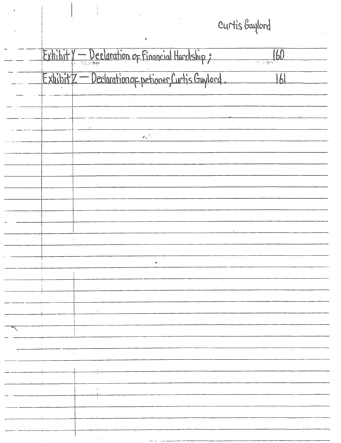Curtis Gaylord

|        | Exhibit Y - Declaration of Financial Hardship;      | 160 |
|--------|-----------------------------------------------------|-----|
|        | ExhibitZ - Declaration of petioner, Curtis Gaylord. | W   |
|        |                                                     |     |
|        | $\mathbb{Z}_t^{(\mathcal{S}_t)}$                    |     |
|        |                                                     |     |
|        |                                                     |     |
|        |                                                     |     |
| $\sim$ |                                                     |     |
|        |                                                     |     |
|        |                                                     |     |
|        |                                                     |     |
|        |                                                     |     |
|        |                                                     |     |
|        |                                                     |     |
|        |                                                     |     |
|        |                                                     |     |
|        |                                                     |     |
|        |                                                     |     |

 $\ddot{\phantom{0}}$ 

 $\begin{array}{c} \begin{array}{c} \bullet \\ \bullet \\ \bullet \end{array} \end{array}$ 

 $\bullet$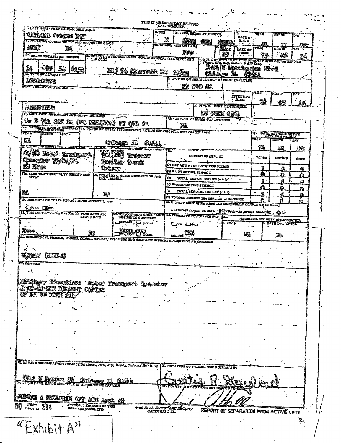| I. LAST NAES-FIRST NANS-MOOL E NAME                                                                    |                                                 |                                                                 | 2.55                   | THIS IS AN INFORTANT RECORD<br>SAFEGUARITS.                         | 3 ICCIAL SECURITY NUMBER                                  |              |                                         |             |                                                     |            |
|--------------------------------------------------------------------------------------------------------|-------------------------------------------------|-----------------------------------------------------------------|------------------------|---------------------------------------------------------------------|-----------------------------------------------------------|--------------|-----------------------------------------|-------------|-----------------------------------------------------|------------|
| GATLCHD<br>Géctis<br><b>S. DEPARTMENT, COMPONENT AND BRANCH OR CLASS</b>                               |                                                 |                                                                 | $20 - 3$<br>بيتي<br>å. | 蕸                                                                   |                                                           |              | <b>DATE OF</b><br>BIRTH                 | <b>TEAR</b> | <b>MONTH</b>                                        | DAY        |
| 1905 î<br>翼                                                                                            |                                                 |                                                                 |                        | <b>EL GRADE, RATE OR HANG</b>                                       |                                                           | EAX<br>ERÃOS | bate of                                 | Z<br>year   | ବ장<br><b>NONTH</b>                                  | 95<br>DAY  |
| ₹e.<br><b>SELECTIVE SERVICE MUNDER</b>                                                                 |                                                 |                                                                 |                        | ppe :<br>II. SELECTIVE SERVICE LOCAL GOARD BULGER, CITY, STATE AND. |                                                           | 愍            | панк                                    |             | 66                                                  | 26         |
|                                                                                                        |                                                 |                                                                 | تتفادين به             |                                                                     |                                                           |              | (Street, RPD, City, Stoto and EIP Code) |             | C NONE OF RECOGO AT TIME OF OVERTING ACTIVE SERVICE |            |
| 退<br>₿Ş<br>鷚<br>025                                                                                    |                                                 |                                                                 | 54 Franch F            |                                                                     |                                                           | TL           | FAA IF INSERIESED<br>éðal.              |             | 東越                                                  |            |
| <b>BE. TYPE OF SEPARATION</b><br>DISCHARGE                                                             |                                                 |                                                                 |                        |                                                                     | <b>L SO TIGN OR INSTALLATION AT THICH EFFECTED</b>        |              |                                         |             |                                                     |            |
| <b>EERTH AND REAGN</b>                                                                                 |                                                 | $\sim 10^{-4}$                                                  |                        | $\bullet$                                                           | FT OED<br>6                                               |              |                                         |             |                                                     |            |
|                                                                                                        |                                                 |                                                                 |                        |                                                                     |                                                           |              | <i><b>EFFESTIVE</b></i>                 | iteat       | <b>BIONTH</b>                                       | DAY        |
| <b>OP-CERTAIN</b>                                                                                      |                                                 |                                                                 |                        |                                                                     | <b>L TYPE OF CERTIFICATE ENDED</b>                        |              | $·$ $B2$                                | 76          | 83                                                  | 退感         |
| <b>TORRADIE</b><br><b>1. LAST BUTT ASIGNATIVE AND HAJOF COMMAND</b>                                    |                                                 |                                                                 |                        |                                                                     | DF FORE                                                   | 靈            |                                         |             |                                                     |            |
| Sg.<br>The Set<br>医肉                                                                                   | (PC                                             |                                                                 |                        |                                                                     | 13. Contang to hage transferres                           |              | ш.                                      |             |                                                     |            |
| 19. Yearinal bate of Reserve ita Flace of Littly into Clrust active Bervice (City, 21414 and 217 Cels) | Rensin)                                         | 37<br>初度的                                                       | £Ш                     | 驠                                                                   |                                                           |              |                                         |             |                                                     |            |
| YEAR .<br><b>MDNTN</b><br><b>GAY</b>                                                                   |                                                 |                                                                 |                        |                                                                     |                                                           |              |                                         | 19.         | <b>BATE ENTERED ACTIVE</b>                          |            |
| 飈<br>Ge COIMBOY COOPER                                                                                 |                                                 | Œieego<br>π.                                                    |                        |                                                                     |                                                           |              |                                         | <b>TEAM</b> | <b>MONTH</b>                                        | <b>DAY</b> |
| 723.00<br>title                                                                                        |                                                 | <b>Transmit of Star Courses And T</b><br><b>D.O.T. HUNGER</b>   |                        | $\overline{\text{ra}}$ .                                            |                                                           |              |                                         | 濯           | 20                                                  | OB         |
|                                                                                                        |                                                 |                                                                 |                        |                                                                     | RECORD OF SERVICE<br>                                     |              |                                         | YEARS       | <b>MONTHS</b>                                       | Davs       |
|                                                                                                        |                                                 | û:157                                                           |                        |                                                                     | (#) N2T ACTIVE SERVICE THE PERIOD                         |              |                                         | 1           | 孱                                                   | ⊜          |
| ITA. SECONDARY SPECIALTY NUMBER AND.<br>Title                                                          |                                                 | & RELATED C-VIL AN OCCUPATION AND<br>0.0.7. Nexeer              |                        | (U Frior active seavice<br>(c)                                      | TOTAL ACTIVE SESVICS (a + b)                              |              |                                         | a           | €                                                   | Aì         |
|                                                                                                        |                                                 |                                                                 |                        | (4) Fror MacTive Service                                            |                                                           |              |                                         | 4<br>A      | б                                                   | ş          |
| 醠                                                                                                      | 嬉黃                                              |                                                                 |                        | (e)                                                                 | TOTAL SERVICE FOR FAY (C + J)                             |              |                                         | 崐           | ₫<br>5                                              | А<br>E)    |
| 19. INSOCHINA OR KOREA SERVICE SINCE AUGUST 5, 1968                                                    |                                                 |                                                                 |                        | (!) FOTEIGN AND/OR SEA SERVICE THIS PERIOD                          |                                                           |              |                                         | A           | Л                                                   | A          |
| *⊡re des                                                                                               |                                                 |                                                                 |                        | 20. MICHEST EDUCATION LEVEL SUCCESSFULLY COMPLETED (to Year)        | SECSRDARY MER SCHOOL SE PRISO - 13 grades) COLLEGE . Grad |              |                                         |             |                                                     |            |
| 41, THE LOST (Pressing You You 22, DAYS ACERUED                                                        | <b>LEAVE PAIS</b>                               | <b>21. JERVICEMEN'S GROUP LIFE</b><br><b>INSURANCE COVERAGE</b> |                        | 24. DISABILITY SEVERAGEE FAY                                        |                                                           | i25.         |                                         |             | PERSONNEL SECURITY INVESTIGATION                    |            |
|                                                                                                        |                                                 | <b>SISNET LA</b>                                                |                        |                                                                     |                                                           | e teps       |                                         |             | 12 DATE CONPLETED                                   |            |
| Nexe                                                                                                   | 33                                              | ರ್ಣ<br>jsib,65( <sup>3)</sup>                                   | GOT<br><b>LI HOME</b>  | АНСИНЗ                                                              |                                                           |              | 鸍                                       |             | 鵽                                                   |            |
| 4. Becoraticus, Hedals, Barces, Cesuemdaticus, Citations and Campaign Rissons Awarded or Authorized    |                                                 |                                                                 |                        |                                                                     |                                                           |              |                                         |             |                                                     |            |
| ÷                                                                                                      |                                                 |                                                                 |                        |                                                                     |                                                           |              |                                         |             |                                                     |            |
| RIFLE                                                                                                  |                                                 |                                                                 |                        |                                                                     |                                                           |              |                                         |             |                                                     |            |
|                                                                                                        |                                                 |                                                                 |                        |                                                                     |                                                           |              |                                         |             |                                                     |            |
|                                                                                                        |                                                 |                                                                 |                        |                                                                     |                                                           |              |                                         |             |                                                     |            |
|                                                                                                        |                                                 |                                                                 |                        |                                                                     |                                                           |              |                                         |             |                                                     |            |
|                                                                                                        |                                                 |                                                                 |                        |                                                                     |                                                           |              |                                         |             |                                                     |            |
|                                                                                                        | 美施士姓名                                           | Transport Operator                                              |                        |                                                                     |                                                           |              |                                         |             |                                                     |            |
|                                                                                                        |                                                 |                                                                 |                        |                                                                     |                                                           |              |                                         |             |                                                     |            |
|                                                                                                        |                                                 |                                                                 |                        |                                                                     |                                                           |              |                                         |             |                                                     |            |
|                                                                                                        |                                                 |                                                                 |                        |                                                                     |                                                           |              |                                         |             |                                                     |            |
|                                                                                                        |                                                 |                                                                 |                        |                                                                     |                                                           |              |                                         |             |                                                     |            |
|                                                                                                        |                                                 |                                                                 |                        |                                                                     |                                                           |              |                                         |             |                                                     |            |
|                                                                                                        |                                                 |                                                                 |                        |                                                                     |                                                           |              |                                         |             |                                                     |            |
|                                                                                                        |                                                 |                                                                 |                        |                                                                     |                                                           |              |                                         |             |                                                     |            |
|                                                                                                        |                                                 |                                                                 |                        |                                                                     |                                                           |              |                                         |             |                                                     |            |
|                                                                                                        |                                                 |                                                                 |                        |                                                                     |                                                           |              |                                         |             |                                                     |            |
|                                                                                                        |                                                 |                                                                 |                        | 29. SIGNATURE OF PERSON BEING SEPARATED                             |                                                           |              |                                         |             |                                                     |            |
|                                                                                                        |                                                 | An Kiri                                                         |                        |                                                                     |                                                           |              |                                         |             |                                                     |            |
|                                                                                                        | ND TITLE OF AUTHORIZ                            |                                                                 |                        |                                                                     |                                                           |              |                                         |             |                                                     |            |
| 27. REMARKS<br>21. MAILING ADDRESS AFTER SEPARATION (Strong RP2), Itsy, County, State and ZIP Code)    |                                                 |                                                                 |                        |                                                                     |                                                           |              |                                         |             |                                                     |            |
| JUSESTE A <u>NATIONA</u> N                                                                             |                                                 |                                                                 |                        |                                                                     |                                                           |              |                                         |             |                                                     |            |
| DD .F <sup>ori</sup> 214                                                                               | Previgus Editions of This<br>Form are obsalete: |                                                                 |                        | this is an infertant récord<br>SafeCuai d'It.                       |                                                           |              |                                         |             | REPORT OF SEPARATION FROM ACTIVE OUT                |            |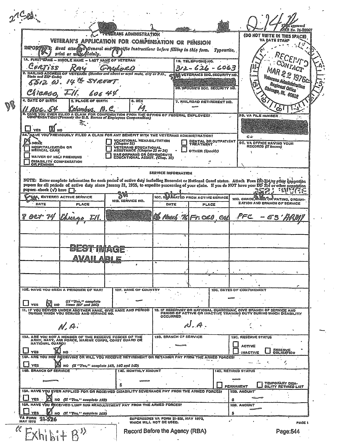|     |                                              |                                                                                                               |                                                                                                                                                                                                                                                                                                                |                                                                 |                                     |                            |                                                                                                                                      | im approved<br>OMB No. 76-R0007            |
|-----|----------------------------------------------|---------------------------------------------------------------------------------------------------------------|----------------------------------------------------------------------------------------------------------------------------------------------------------------------------------------------------------------------------------------------------------------------------------------------------------------|-----------------------------------------------------------------|-------------------------------------|----------------------------|--------------------------------------------------------------------------------------------------------------------------------------|--------------------------------------------|
|     |                                              |                                                                                                               | <b>TESERANS ADMINISTRATION</b><br>VETERAN'S APPLICATION FOR COMPENSATION OR PENSION                                                                                                                                                                                                                            |                                                                 |                                     |                            | (DO NOT WRITE IN THIS SPACE)<br>YA DATE STAMP                                                                                        |                                            |
|     | <b>IMPORTENT:</b>                            |                                                                                                               | Read atta Rypeurite, and Precise Instructions before filling in this form. Typeurite,                                                                                                                                                                                                                          |                                                                 |                                     |                            |                                                                                                                                      |                                            |
|     |                                              | print or white plainly.<br><b>1A. FIRST NAME - MIDDLE NAME - LAST NAME OF VETERAN</b>                         |                                                                                                                                                                                                                                                                                                                |                                                                 | 1B. TELEPHONE NO.                   |                            |                                                                                                                                      |                                            |
|     | Curtiss                                      |                                                                                                               |                                                                                                                                                                                                                                                                                                                |                                                                 | 312-626-6063                        |                            |                                                                                                                                      |                                            |
|     | State and ZIP Code)                          |                                                                                                               | MAILING ADDRESS OF VETERAN (Number and sheet or mral route, city or P.O.,                                                                                                                                                                                                                                      |                                                                 | W VETERANIS SOC. SECURITY NO.       |                            |                                                                                                                                      | MAR 22 1976c                               |
|     | z te                                         |                                                                                                               |                                                                                                                                                                                                                                                                                                                |                                                                 | 38. SPOUSE'S SOC. SECURITY NO.      |                            |                                                                                                                                      | Veterans Administration<br>Regional Offica |
|     | DATE OF BIRTH                                | <b>5. PLACE OF BIRTH</b>                                                                                      | 6. SEX                                                                                                                                                                                                                                                                                                         |                                                                 |                                     |                            |                                                                                                                                      | Chicago, III., 60612                       |
| V\$ |                                              | Umbis.                                                                                                        |                                                                                                                                                                                                                                                                                                                |                                                                 | 7. RAILROAD RETIREMENT NO.          |                            | O۵۱                                                                                                                                  |                                            |
|     |                                              |                                                                                                               | E. HAVE YOU EVER FILED A CLAIM FOR COMPENSATION FROM THE OFFICE OF FEDERAL EMPLOYEES.<br>COMPENSATION? (Formerly the U.S. Bareau of Employees Compensation)                                                                                                                                                    |                                                                 |                                     |                            | <b>SB. VA FILE NUMBER.</b>                                                                                                           |                                            |
|     | YES                                          |                                                                                                               |                                                                                                                                                                                                                                                                                                                |                                                                 |                                     |                            |                                                                                                                                      |                                            |
|     |                                              |                                                                                                               | <b>AGVE YOU'PREVIOUSLY FILED A CLAIM FOR ANY BENEFIT WITH THE VETERANS ADMINISTRATION?</b>                                                                                                                                                                                                                     |                                                                 |                                     |                            | C÷                                                                                                                                   |                                            |
|     | . NONÈ<br>HOSPITALIZATION OR<br>MEDICAL CARE |                                                                                                               | VOCATIONAL REHABILITATION<br><i>(Chapter 31)</i><br>VETERANS EDUCATIONAL<br>ASSISTANCE <i>(Chapter 33 or 34)</i>                                                                                                                                                                                               |                                                                 | DENTAL OR OUTPATIENT<br>TREATMENT . |                            | <b>9C. VA OFFICE HAVING YOUR</b><br>RECORDS (If <i>known</i> )                                                                       |                                            |
|     | WAIVER OF NSCI PREMIUMS                      |                                                                                                               | WAR ORPHANS OR DEPENDENTS<br>EDUCATIONAL ASSIST. (Chan. 35)                                                                                                                                                                                                                                                    |                                                                 | OTHER (Specify)                     |                            |                                                                                                                                      |                                            |
|     | DISABILITY COMPENSATION<br>OR PENSION        |                                                                                                               |                                                                                                                                                                                                                                                                                                                |                                                                 |                                     |                            |                                                                                                                                      |                                            |
|     |                                              |                                                                                                               |                                                                                                                                                                                                                                                                                                                | <b>SERVICE INFORMATION</b>                                      |                                     |                            |                                                                                                                                      |                                            |
|     | papers check $(\sqrt{)}$ here $\Gamma$       |                                                                                                               | NOTE: Enter complete information for each period of active duty including Reservist or National Guard status. Attach Form DD-214/or other separation<br>papers for all periods of active duty since January 31, 1955, to expedite processing of your claim. If you do NOT have your DD 214 or other separation |                                                                 |                                     |                            |                                                                                                                                      |                                            |
|     |                                              | <b>PROA, ENTERED ACTIVE SERVICE</b>                                                                           |                                                                                                                                                                                                                                                                                                                | 10C. SAPARATED FROM ACTIVE SERVICE                              |                                     |                            | 10D. GRADE, AARK OR RATING, ORGANI-                                                                                                  |                                            |
|     | DATE                                         | <b>PLACE</b>                                                                                                  | 10B. SERVICE NO.                                                                                                                                                                                                                                                                                               | DATE                                                            | <b>PLACE</b>                        |                            | ZATION AND BRANCH OF SERVICE                                                                                                         |                                            |
|     | OCT 74                                       |                                                                                                               |                                                                                                                                                                                                                                                                                                                | (E Meel 761Fr.020 CAL                                           |                                     |                            | ಿ೯c                                                                                                                                  |                                            |
|     |                                              |                                                                                                               |                                                                                                                                                                                                                                                                                                                |                                                                 |                                     |                            |                                                                                                                                      |                                            |
|     |                                              |                                                                                                               |                                                                                                                                                                                                                                                                                                                |                                                                 |                                     |                            |                                                                                                                                      |                                            |
|     |                                              |                                                                                                               |                                                                                                                                                                                                                                                                                                                | v                                                               |                                     |                            |                                                                                                                                      |                                            |
|     |                                              | avah ari e                                                                                                    | <b>TIMAGE</b>                                                                                                                                                                                                                                                                                                  |                                                                 |                                     |                            |                                                                                                                                      |                                            |
|     |                                              |                                                                                                               | ×                                                                                                                                                                                                                                                                                                              |                                                                 |                                     |                            |                                                                                                                                      |                                            |
|     |                                              |                                                                                                               |                                                                                                                                                                                                                                                                                                                |                                                                 |                                     |                            |                                                                                                                                      |                                            |
|     |                                              |                                                                                                               |                                                                                                                                                                                                                                                                                                                |                                                                 |                                     |                            |                                                                                                                                      |                                            |
|     |                                              | 10E. HAVE YOU BEEN A PRISONER OF WART                                                                         | 10F. NAME OF COUNTRY                                                                                                                                                                                                                                                                                           |                                                                 |                                     |                            | 10G, DATES OF CONFINEMENT                                                                                                            |                                            |
|     | NO                                           | <i>(If "Yes," complete<br/>items 10F and 10G)</i>                                                             |                                                                                                                                                                                                                                                                                                                |                                                                 |                                     |                            |                                                                                                                                      |                                            |
| 11  |                                              | IF YOU SERVED UNDER ANOTHER NAME, GIVE NAME AND PERIOD<br>DURING WHICH YOU SERVED AND SERVICE NO.             |                                                                                                                                                                                                                                                                                                                | 12.<br>OCCURRED,                                                |                                     |                            | IF RESERVIST OR NATIONAL GUARDSMAN, GIVE BRANCH OF SERVICE AND<br>PERIOD OF ACTIVE OR INACTIVE TRAINING DUTY DURING WHICH DISABILITY |                                            |
|     |                                              | $M$ , $a$ .                                                                                                   |                                                                                                                                                                                                                                                                                                                |                                                                 |                                     |                            |                                                                                                                                      |                                            |
|     |                                              |                                                                                                               |                                                                                                                                                                                                                                                                                                                |                                                                 |                                     |                            |                                                                                                                                      |                                            |
|     | NATIONAL GUARD?                              | 13A. ARE YOU NOW A MEMBER OF THE RESERVE FORCES OF THE<br>ARMY, NAVY, AIR FORCE, MARINE CORPS, COAST GUARD OR |                                                                                                                                                                                                                                                                                                                | 13B. BRANCH OF SERVICE                                          |                                     |                            | <b>13C. RESERVE STATUS</b><br><b>ACTIVE</b>                                                                                          |                                            |
|     | YES                                          | NO                                                                                                            |                                                                                                                                                                                                                                                                                                                |                                                                 |                                     |                            | <b>INACTIVE</b>                                                                                                                      | <b>RESERVE</b><br>OBLIGATION               |
|     | YES                                          | NO $(11$ "Yes," complete $14B$ , $14C$ and $14D$ )                                                            | 14A. ARE YOU NOW RECEIVING OR WILL YOU RECEIVE RETIREMENT OR RETAINER PAY FROM THE ARMED FORCES?                                                                                                                                                                                                               |                                                                 |                                     |                            |                                                                                                                                      |                                            |
|     | <b>14B. BRANCH OF SERVICE</b>                |                                                                                                               | 14C. MONTHLY AMOUNT                                                                                                                                                                                                                                                                                            |                                                                 |                                     | <b>140, RETIRED STATUS</b> |                                                                                                                                      |                                            |
|     |                                              |                                                                                                               |                                                                                                                                                                                                                                                                                                                |                                                                 |                                     |                            |                                                                                                                                      | <b>TEMPORARY DISA-</b>                     |
|     |                                              |                                                                                                               |                                                                                                                                                                                                                                                                                                                |                                                                 |                                     | PERMANENT                  | 15B. AMOUNT                                                                                                                          | <b>BILITY RETHRED LIST</b>                 |
|     |                                              | ISA. HAVE YOU EVER APPLIED FOR OR RECEIVED DISABILITY SEVERANCE PAY FROM THE ARMED FORCES?                    |                                                                                                                                                                                                                                                                                                                |                                                                 |                                     |                            |                                                                                                                                      |                                            |
|     |                                              | NO (If "Yes," complete 15B)                                                                                   |                                                                                                                                                                                                                                                                                                                |                                                                 |                                     | 5                          |                                                                                                                                      |                                            |
|     | 16A.<br>HAVE<br>YOU<br>V                     |                                                                                                               | RECEIVED LUMP SUM READJUSTMENT PAY FROM THE ARMED FORCES?                                                                                                                                                                                                                                                      |                                                                 |                                     | S                          | <b>16B. AMOUNT</b><br>---                                                                                                            |                                            |
|     | VA FORM<br>21-526<br>MAY 1975                | NO (II "Yes," complete 16B)                                                                                   |                                                                                                                                                                                                                                                                                                                | SUPERSEDES VA FORM 21-526, MAY 1973,<br>WHICH WILL NOT BE USED. |                                     |                            |                                                                                                                                      | <b>FAGE 1</b>                              |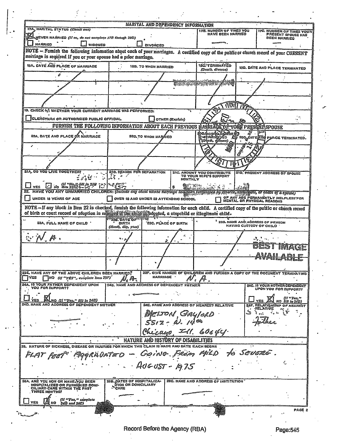| 17A. MARITAL STATUS (Check one)                                                                                                                                                                                                                                                                                                                                                                                                                                                                                                                                                               |                                                         |                                                  | <b>MARITAL AND DEPENDENCY INFORMATION</b> | 178, NUMBER OF TIMES YOU                                     |         | <b>17C. NUMBER OF TIMES YOUR</b>                                               |
|-----------------------------------------------------------------------------------------------------------------------------------------------------------------------------------------------------------------------------------------------------------------------------------------------------------------------------------------------------------------------------------------------------------------------------------------------------------------------------------------------------------------------------------------------------------------------------------------------|---------------------------------------------------------|--------------------------------------------------|-------------------------------------------|--------------------------------------------------------------|---------|--------------------------------------------------------------------------------|
| NEVER MARRIED <i>(If so, do not complete 17B through 20D)</i>                                                                                                                                                                                                                                                                                                                                                                                                                                                                                                                                 | HAVE BEEN MARRIED                                       | <b>PRESENT SPOUSE HAS</b><br><b>BEEN MARRIED</b> |                                           |                                                              |         |                                                                                |
| MARRIED<br>WIDOWED<br>DIVORCED                                                                                                                                                                                                                                                                                                                                                                                                                                                                                                                                                                |                                                         |                                                  |                                           |                                                              |         |                                                                                |
| NOTE - Fumish the following information about each of your marriages. A certified copy of the public or church record of your CURRENT                                                                                                                                                                                                                                                                                                                                                                                                                                                         |                                                         |                                                  |                                           |                                                              |         |                                                                                |
| marriage is required if you or your spouse had a prior marriage.                                                                                                                                                                                                                                                                                                                                                                                                                                                                                                                              |                                                         |                                                  |                                           |                                                              |         |                                                                                |
| <b>18A. OATE AND PLACE OF MARRIAGE</b>                                                                                                                                                                                                                                                                                                                                                                                                                                                                                                                                                        | 16B. TO WHOM MARRIED                                    |                                                  | 18C-TERMINATED<br>(Death, divorce)        | 13D. DATE AND PLACE TERMINATED                               |         |                                                                                |
| Ò                                                                                                                                                                                                                                                                                                                                                                                                                                                                                                                                                                                             |                                                         |                                                  |                                           |                                                              |         |                                                                                |
|                                                                                                                                                                                                                                                                                                                                                                                                                                                                                                                                                                                               |                                                         |                                                  |                                           | <b>SHE WARD SECURE WATER PROPERTY</b>                        |         |                                                                                |
|                                                                                                                                                                                                                                                                                                                                                                                                                                                                                                                                                                                               |                                                         |                                                  |                                           |                                                              |         |                                                                                |
| 19. CHECK IV) WHETHER YOUR CURRENT MARRIAGE WAS PERFORMED:                                                                                                                                                                                                                                                                                                                                                                                                                                                                                                                                    |                                                         |                                                  |                                           | $\widehat{\mathbb{M}}$ $\widehat{\mathbb{M}}$                |         |                                                                                |
| CLERGYMAN OR AUTHORIZED PUBLIC OFFICIAL                                                                                                                                                                                                                                                                                                                                                                                                                                                                                                                                                       |                                                         |                                                  |                                           |                                                              |         |                                                                                |
| FURNISH THE FOLLOWING INFORMATION ABOUT EACH PREVIOUS                                                                                                                                                                                                                                                                                                                                                                                                                                                                                                                                         |                                                         |                                                  | OTHER (Explain)                           |                                                              |         |                                                                                |
|                                                                                                                                                                                                                                                                                                                                                                                                                                                                                                                                                                                               |                                                         |                                                  |                                           | MARRIAGE DF TOOS PRESSITISPOUSE                              |         |                                                                                |
| 20A. DATE AND PLACE OF MARRIAGE                                                                                                                                                                                                                                                                                                                                                                                                                                                                                                                                                               |                                                         | <b>20B. TO WHOM MARAIED</b>                      |                                           | CHOW WARRACE<br>ZDłath, dj⁄ronce)                            |         | <b>Sy 200 OATE AND PLACE TERMINATED.</b>                                       |
|                                                                                                                                                                                                                                                                                                                                                                                                                                                                                                                                                                                               |                                                         |                                                  |                                           |                                                              |         |                                                                                |
|                                                                                                                                                                                                                                                                                                                                                                                                                                                                                                                                                                                               |                                                         |                                                  |                                           |                                                              |         |                                                                                |
| <b>21A, DO YOU LIVE TOGETHER?</b>                                                                                                                                                                                                                                                                                                                                                                                                                                                                                                                                                             |                                                         |                                                  |                                           |                                                              |         | 210. PRESENT ADDRESS OF SPOUSE                                                 |
|                                                                                                                                                                                                                                                                                                                                                                                                                                                                                                                                                                                               | <b>21B. REASON FOR SEPARATION</b>                       |                                                  | MONTHLY                                   | <b>21C. AMOUNT YOU CONTRIBUTE<br/>TO YOUR WIFE'S SUPPORT</b> |         |                                                                                |
| $\boxdot$ io $\stackrel{d\text{f}}{=} \stackrel{d\text{f}}{=} \stackrel{d\text{f}}{=} \stackrel{d\text{f}}{=} \stackrel{d\text{f}}{=} \stackrel{d\text{f}}{=} \stackrel{d\text{f}}{=} \stackrel{d\text{f}}{=} \stackrel{d\text{f}}{=} \stackrel{d\text{f}}{=} \stackrel{d\text{f}}{=} \stackrel{d\text{f}}{=} \stackrel{d\text{f}}{=} \stackrel{d\text{f}}{=} \stackrel{d\text{f}}{=} \stackrel{d\text{f}}{=} \stackrel{d\text{f}}{=} \stackrel{d\text$<br>HAVE YOU ANY UNMARRIED CHILOREN: (Include any child whose marriage has been ferminaled by divorce, anywheen, or deach of a spouse) |                                                         |                                                  | я                                         | $\mathcal{B}^{\text{max}}_{\text{max}}$                      |         |                                                                                |
| UNDER 18 YEARS OF AGE                                                                                                                                                                                                                                                                                                                                                                                                                                                                                                                                                                         |                                                         |                                                  | OVER 18 AND UNDER 23 ATTENDING SCHOOL .   |                                                              |         | OF ANY AGE PERMANENTLY HELPLESS FOR                                            |
| NOTE-If any block in Item 22 is checked, furnish the following information for each child. A certified copy of the public or church record<br>of birth or court record of adoption is remined the contrigual adopted, a stepchild or illegitmate child.                                                                                                                                                                                                                                                                                                                                       |                                                         |                                                  |                                           |                                                              |         |                                                                                |
| 23A, FULL NAME OF CHILD                                                                                                                                                                                                                                                                                                                                                                                                                                                                                                                                                                       | **238. DATE OF **<br><b>BIRTH</b><br>(Month, day, year) | <b>23C. PLACE OF BIRTH</b>                       |                                           |                                                              |         | <sup>1</sup> 23D. NAME AND ADDRESS OF PERSON<br><b>HAVING CUSTODY OF CHILD</b> |
| $N \wedge \mathcal{P}$                                                                                                                                                                                                                                                                                                                                                                                                                                                                                                                                                                        |                                                         |                                                  | -4                                        |                                                              |         |                                                                                |
|                                                                                                                                                                                                                                                                                                                                                                                                                                                                                                                                                                                               |                                                         |                                                  |                                           |                                                              |         | IMAGE                                                                          |
|                                                                                                                                                                                                                                                                                                                                                                                                                                                                                                                                                                                               |                                                         |                                                  |                                           |                                                              |         |                                                                                |
|                                                                                                                                                                                                                                                                                                                                                                                                                                                                                                                                                                                               |                                                         |                                                  |                                           |                                                              |         |                                                                                |
| 23E. HAVE ANY OF THE ABOVE CHILDREN BEEN MARRIED?<br>NO (If "YES", complete item 23F)                                                                                                                                                                                                                                                                                                                                                                                                                                                                                                         |                                                         | <b>MARRIAGE</b>                                  |                                           |                                                              |         | 23F. GIVE NAME(S) OF CHILDREN AND FURNISH A COPY OF THE DOCUMENT TERMINATING   |
| 24A, IS YOUR FATHER DEPENDENT UPON<br>YOU FOR SUPPORT?                                                                                                                                                                                                                                                                                                                                                                                                                                                                                                                                        | 24B. NAME AND ADDRESS OF DEPENDENT FATHER               |                                                  |                                           |                                                              |         | <b>24C. IS YOUR MOTHER DEPENDENT</b><br>UPON YOU FOR SUPPORT?                  |
| NO <i>(If "Yes," fill in 24B)</i>                                                                                                                                                                                                                                                                                                                                                                                                                                                                                                                                                             |                                                         |                                                  |                                           |                                                              |         | (II "Yes."                                                                     |
| 24D. NAME AND ADDRESS OF DEPENDENT MOTHER                                                                                                                                                                                                                                                                                                                                                                                                                                                                                                                                                     |                                                         |                                                  |                                           | 24E. NAME AND ADDRESS OF NEAREST RELATIVE                    |         | NO  III in 24D)<br>24F. RELATIONSHIP<br><b>OF NEARES</b><br><b>RELATIVE</b>    |
|                                                                                                                                                                                                                                                                                                                                                                                                                                                                                                                                                                                               |                                                         |                                                  |                                           | , GAY/ORD                                                    | .<br>چې |                                                                                |
|                                                                                                                                                                                                                                                                                                                                                                                                                                                                                                                                                                                               |                                                         |                                                  |                                           |                                                              |         |                                                                                |
|                                                                                                                                                                                                                                                                                                                                                                                                                                                                                                                                                                                               |                                                         |                                                  |                                           | Chicayo, Ill. 6064U.                                         |         |                                                                                |
|                                                                                                                                                                                                                                                                                                                                                                                                                                                                                                                                                                                               |                                                         |                                                  | NATURE AND HISTORY OF DISABILITIES        |                                                              |         |                                                                                |
| 25. NATURE OF SICKNESS, DISEASE OR INJURIES FOR WHICH THIS CLAIM IS MADE AND<br>FLAT FEET                                                                                                                                                                                                                                                                                                                                                                                                                                                                                                     |                                                         |                                                  |                                           |                                                              |         | to Severe .                                                                    |
|                                                                                                                                                                                                                                                                                                                                                                                                                                                                                                                                                                                               |                                                         |                                                  |                                           |                                                              |         |                                                                                |
|                                                                                                                                                                                                                                                                                                                                                                                                                                                                                                                                                                                               |                                                         |                                                  | $Aveus - 19.75$                           |                                                              |         |                                                                                |
| 26A. ARÊ YOU NOW OR HAVE YOU BEEN                                                                                                                                                                                                                                                                                                                                                                                                                                                                                                                                                             | 28B. DATES OF HOSPITALIZA-                              |                                                  |                                           | 2GC. NAME AND ADDRESS OF INSTITUTION                         |         |                                                                                |
| HOSPITALIZED OR FURNISHED DOMI-<br>CILIARY-CARE WITHIN THE PAST<br>THREE MONTHS?                                                                                                                                                                                                                                                                                                                                                                                                                                                                                                              | <b>ITION OR DOMICILIARY</b><br>SCARE                    |                                                  |                                           |                                                              |         |                                                                                |
| (If "Yes," complete<br>26B and 26C)                                                                                                                                                                                                                                                                                                                                                                                                                                                                                                                                                           |                                                         |                                                  |                                           |                                                              |         |                                                                                |
|                                                                                                                                                                                                                                                                                                                                                                                                                                                                                                                                                                                               |                                                         |                                                  |                                           |                                                              |         | PAGE 2                                                                         |
|                                                                                                                                                                                                                                                                                                                                                                                                                                                                                                                                                                                               |                                                         |                                                  |                                           |                                                              |         |                                                                                |

 $\ddot{\cdot}$ 

Ĵ.

۰,

 $\mathcal{C}$ 

Page:545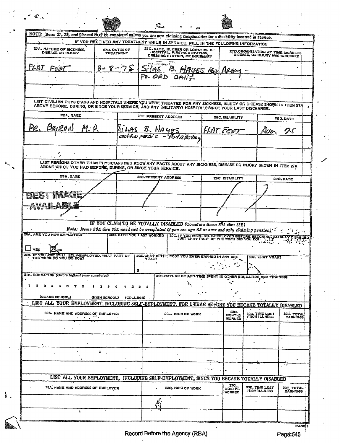NOTE: Items 27, 28, and 29 need NOT be completed unless you are now claiming compensation for a disability incurred in service. IF YOU RECEIVED ANY TREATMENT WHILE IN SERVICE, FILL IN THE FOLLOWING INFORMATION **27C. NAME, NUMBER OR LOCATION OF HOSPITAL, FIRST-AID STATION, DRESSING STATION, OR INFIRMARY 27A. NATURE OF SICKNESS.**<br>DISEASE OR INJURY **278. DATES OF**<br>TREATMENT 270.0RGANIZATION AT TIME SICKNESS.<br>DISEASE, OR INJURY WAS INCURRED FLAT 8ే⇒  $8 - 75$ FEET LIST CIVILIAN PHYSICIANS AND HOSPITALS WHERE YOU WERE TREATED FOR ANY SICKNESS, INJURY OR DISEASE SHOWN IN ITEM 27A ABOVE BEFORE, DURING, OR SINCE YOUR SERVICE, AND ANY WILITARY) HOSPITALS SINCE YOUR LAST DISCHARGE. 28A, NAME 28B. PRESENT ADDRESS 28C.DISABILITY **280.DATE**  $\varrho_{\rm dd}$ LILAS B. HAYES AS ho peoi c LIST PERSONS OTHER THAN PHYSICIANS WHO KNOW ANY FACTS ABOUT ANY SICKNESS, DISEASE OR INJURY SHOWN IN ITEM ZIA 29A. NAME 29B. PRESENT ADDRESS 29C DISABILITY **290.0ATE** ieji ц. IF YOU CLAIM TO BE TOTALLY DISABLED (Complete items 30A thru 33E) Note: Items 30A thru 33E need not be completed if you are age 65 or over and only claiming pension) SOB, DATE YOU LAST WORKED TSOC, IF YOU WERE SELF-EMPLOYED BEFORE BECOMING **BOA, ARE YOU NOW EMPLOYED? VBLIED** ∐ <sub>ΥES</sub> .w. SOE, WHAT IS THE MOST YOU EVER EARNED IN ANY ONE **COD. IF YOU ARE STILL SELF-EMIT THE WORK DO YOU DO NOW? HAT PART OF 30F. WHAT YEAR?** 31A. EDUCATION (Circle highest year completed) SIB. NATURE OF AND TIME SPENT IN OTHER EDUCATION, AND TRAINING (GRADE SCHOOL) (HIGH SCHOOL) (COLLEGE) LIST ALL YOUR EMPLOYMENT, INCLUDING SELF-EMPLOYMENT, FOR 1 YEAR BEFORE YOU BECAME TOTALLY DISABLED 32C.<br>MONTHS<br>WORKED 32A. NAME AND ADDRESS OF EMPLOYER 32D. TIME LOST<br>FROM ILLNESS SZE. TOTAL<br>EARNINGS 328. KIND OF WORK  $\Delta$ LIST ALL YOUR EMPLOYMENT, INCLUDING SELF-EMPLOYMENT, SINCE YOU BECAME TOTALLY DISABLED 33C.<br>MONTHS<br>WORKED 53A. NAME AND ADDRESS OF EMPLOYER 33D. TIME LOST<br>FROM ILLNESS 338, KIND OF WORK 33E, TOTAL<br>EARNINGS 7

**PAGE 2**